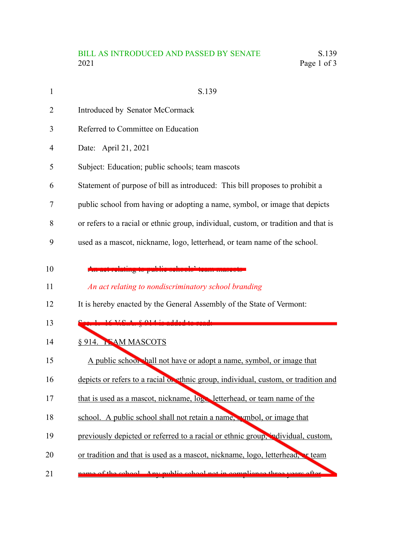| $\mathbf{1}$   | S.139                                                                               |
|----------------|-------------------------------------------------------------------------------------|
| 2              | Introduced by Senator McCormack                                                     |
| 3              | Referred to Committee on Education                                                  |
| $\overline{4}$ | Date: April 21, 2021                                                                |
| 5              | Subject: Education; public schools; team mascots                                    |
| 6              | Statement of purpose of bill as introduced: This bill proposes to prohibit a        |
| 7              | public school from having or adopting a name, symbol, or image that depicts         |
| 8              | or refers to a racial or ethnic group, individual, custom, or tradition and that is |
| 9              | used as a mascot, nickname, logo, letterhead, or team name of the school.           |
| 10             | public behools' team masooto                                                        |
| 11             | An act relating to nondiscriminatory school branding                                |
| 12             | It is hereby enacted by the General Assembly of the State of Vermont:               |
| 13             | صصصص بالمممس وعلاهماهان<br>$16 \text{V}$ C $\Lambda$ $8$ 014 $\mu$                  |
| 14             | § 914. NAM MASCOTS                                                                  |
| 15             | A public school hall not have or adopt a name, symbol, or image that                |
| 16             | depicts or refers to a racial on ethnic group, individual, custom, or tradition and |
| 17             | that is used as a mascot, nickname, log letterhead, or team name of the             |
| 18             | school. A public school shall not retain a name, wmbol, or image that               |
| 19             | previously depicted or referred to a racial or ethnic group, individual, custom,    |
| 20             | or tradition and that is used as a mascot, nickname, logo, letterhead, reteam       |
| 21             | ame of the school Any public school not in compliance three years ofter             |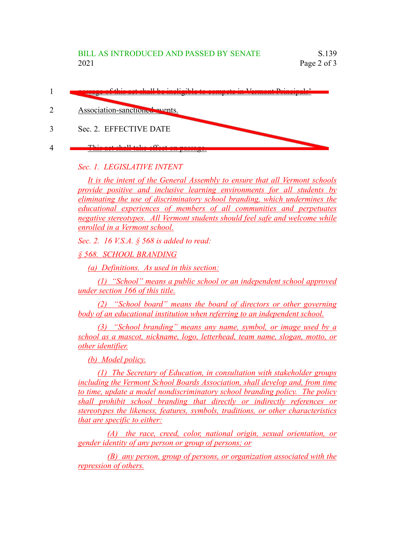| $f(1) = 1.111 + 1.111 + 1.111 + 1.111 + 1.111$<br>mong note to complete me |
|----------------------------------------------------------------------------|
| Association-sanction de avents.                                            |
| Sec. 2. EFFECTIVE DATE                                                     |
| $TL_{\text{total}}$ and $TL_{\text{total}}$ and $TC_{\text{total}}$        |

## *Sec. 1. LEGISLATIVE INTENT*

*It is the intent of the General Assembly to ensure that all Vermont schools provide positive and inclusive learning environments for all students by eliminating the use of discriminatory school branding, which undermines the educational experiences of members of all communities and perpetuates negative stereotypes. All Vermont students should feel safe and welcome while enrolled in a Vermont school.*

*Sec. 2. 16 V.S.A. § 568 is added to read:*

*§ 568. SCHOOL BRANDING*

*(a) Definitions. As used in this section:*

*(1) "School" means a public school or an independent school approved under section 166 of this title.*

*(2) "School board" means the board of directors or other governing body of an educational institution when referring to an independent school.*

*(3) "School branding" means any name, symbol, or image used by a school as a mascot, nickname, logo, letterhead, team name, slogan, motto, or other identifier.*

*(b) Model policy.*

*(1) The Secretary of Education, in consultation with stakeholder groups including the Vermont School Boards Association, shall develop and, from time to time, update a model nondiscriminatory school branding policy. The policy shall prohibit school branding that directly or indirectly references or stereotypes the likeness, features, symbols, traditions, or other characteristics that are specific to either:*

*(A) the race, creed, color, national origin, sexual orientation, or gender identity of any person or group of persons; or*

*(B) any person, group of persons, or organization associated with the repression of others.*